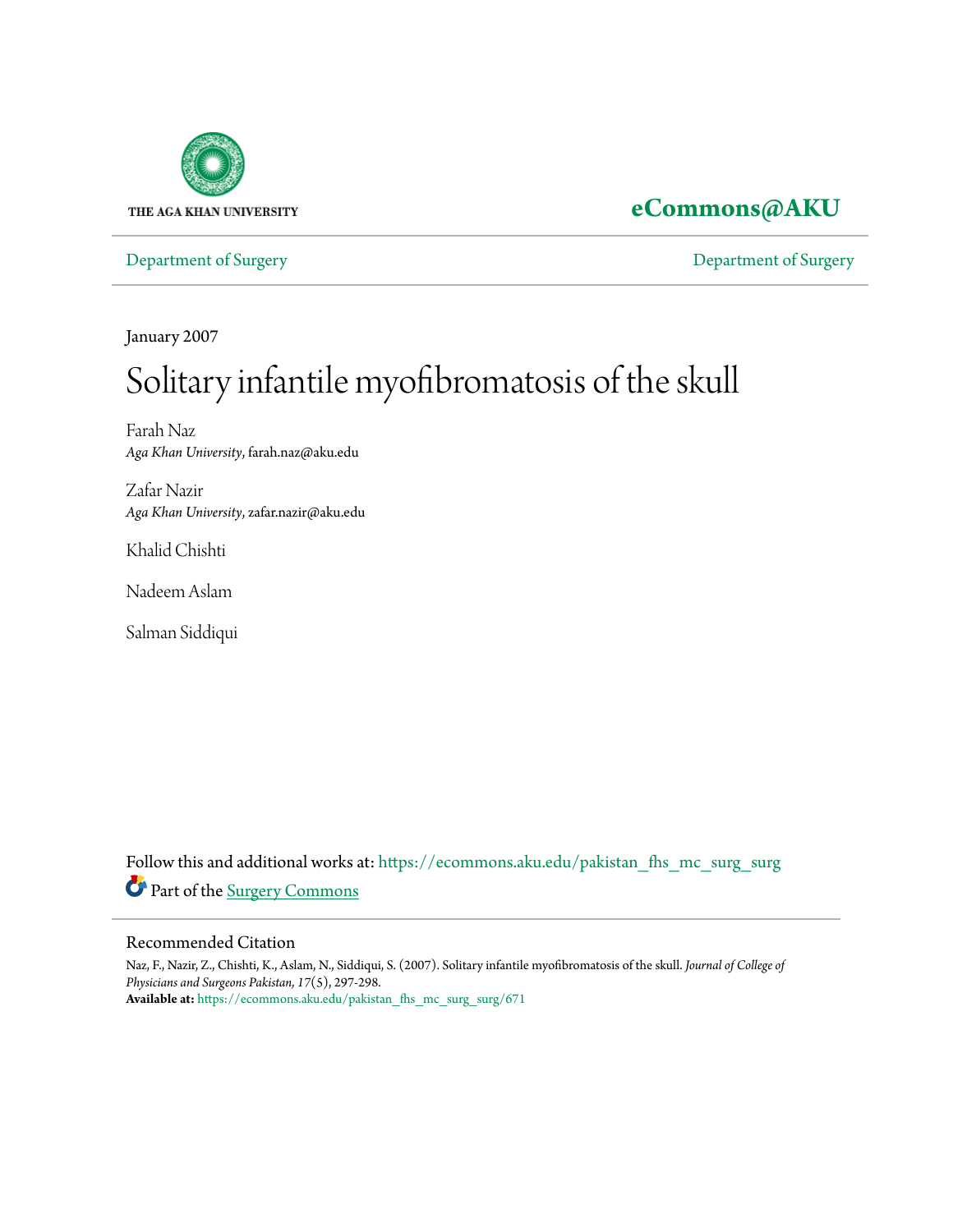

## **[eCommons@AKU](https://ecommons.aku.edu?utm_source=ecommons.aku.edu%2Fpakistan_fhs_mc_surg_surg%2F671&utm_medium=PDF&utm_campaign=PDFCoverPages)**

[Department of Surgery](https://ecommons.aku.edu/pakistan_fhs_mc_surg_surg?utm_source=ecommons.aku.edu%2Fpakistan_fhs_mc_surg_surg%2F671&utm_medium=PDF&utm_campaign=PDFCoverPages) [Department of Surgery](https://ecommons.aku.edu/pakistan_fhs_mc_surg?utm_source=ecommons.aku.edu%2Fpakistan_fhs_mc_surg_surg%2F671&utm_medium=PDF&utm_campaign=PDFCoverPages)

January 2007

# Solitary infantile myofibromatosis of the skull

Farah Naz *Aga Khan University*, farah.naz@aku.edu

Zafar Nazir *Aga Khan University*, zafar.nazir@aku.edu

Khalid Chishti

Nadeem Aslam

Salman Siddiqui

Follow this and additional works at: [https://ecommons.aku.edu/pakistan\\_fhs\\_mc\\_surg\\_surg](https://ecommons.aku.edu/pakistan_fhs_mc_surg_surg?utm_source=ecommons.aku.edu%2Fpakistan_fhs_mc_surg_surg%2F671&utm_medium=PDF&utm_campaign=PDFCoverPages) Part of the [Surgery Commons](http://network.bepress.com/hgg/discipline/706?utm_source=ecommons.aku.edu%2Fpakistan_fhs_mc_surg_surg%2F671&utm_medium=PDF&utm_campaign=PDFCoverPages)

#### Recommended Citation

Naz, F., Nazir, Z., Chishti, K., Aslam, N., Siddiqui, S. (2007). Solitary infantile myofibromatosis of the skull. *Journal of College of Physicians and Surgeons Pakistan, 17*(5), 297-298. **Available at:** [https://ecommons.aku.edu/pakistan\\_fhs\\_mc\\_surg\\_surg/671](https://ecommons.aku.edu/pakistan_fhs_mc_surg_surg/671)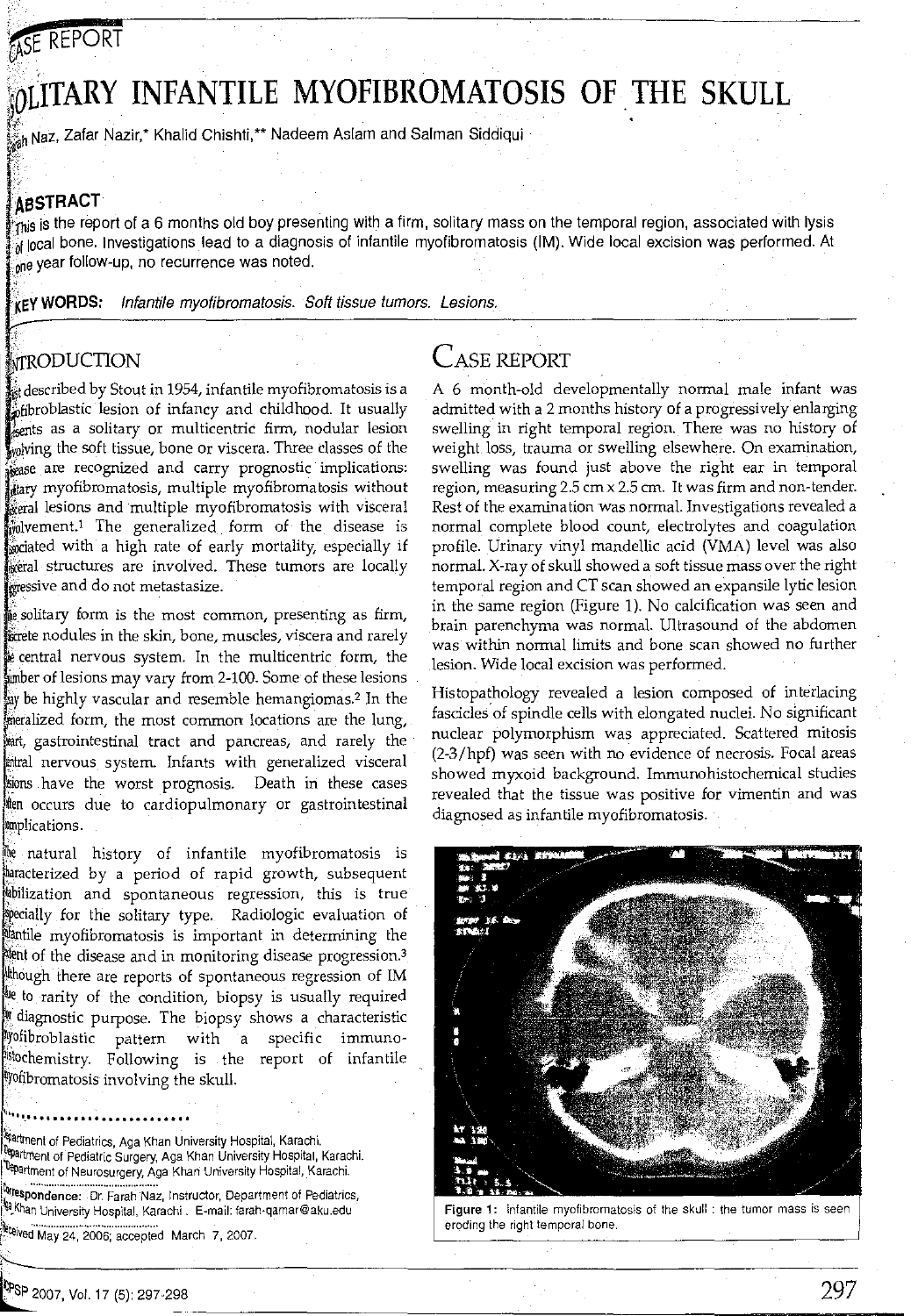## **'(sE** REPORT

## ~pLITARY **INFANTILE MYOFIBROMATOSIS OF .THE SKULL**

 $\frac{m}{20}$ h Naz, Zafar Nazir,\* Khalid Chishti,\*\* Nadeem Aslam and Salman Siddiqui

#### **ABSTRACT**

This is the report of a 6 months old boy presenting with a firm, solitary mass on the temporal region, associated with lysis  $\frac{3}{10}$  local bone. Investigations lead to a diagnosis of infantile myofibromatosis (IM). Wide local excision was performed. At · *one* year follow-up, no recurrence was noted.

**'KEY WORDS:** Infantile myofibromatosis. Soft tissue tumors. Lesions.

#### **MTRODUCTION**

 $^{\prime}_{\rm st}$ described by Stout in 1954, infantile myofibromatosis is a fbbroblastic lesion of infancy and childhood. It usually **,,esents as a solitary or multicentric firm, nodular lesion**  Jving the soft tissue, bone or viscera. Three classes of the **kease** are recognized and carry prognostic implications: .tary myofibromatosis, multiple myofibromatosis without '''era! lesions and multiple myofibromatosis with visceral  $_{\rm mol}$ vement.<sup>1</sup> The generalized form of the disease is sociated with a high rate of early mortality, especially if  $\frac{1}{2}$  structures are involved. These tumors are locally . **wessive and do not metastasize.** 

, **solitary form is the most common, presenting as firm,**   $\frac{1}{2}$  arete nodules in the skin, bone, muscles, viscera and rarely · **central nervous system. In the multicentric form, the**  ber of lesions may vary from 2-100. Some of these lesions  $\mu$ y be highly vascular and resemble hemangiomas. $^2$  In the ~eralized **form, the most common locations are the lung,**   $*$ art, gastrointestinal tract and pancreas, and rarely the ~tral **nervous system. Infants with generalized visceral**   $\frac{1}{2}$  have the worst prognosis. Death in these cases ~en occurs due to cardiopulmonary or gastrointestinal plications.

e natural history of infantile myofibromatosis is  $\frac{1}{2}$  aracterized by a period of rapid growth, subsequent **.,bilization and spontaneous regression, this is true**  .P.ecially for the solitary type. Radiologic evaluation of ~antile myofibromatosis is important in determining the  $\frac{1}{2}$  and in monitoring disease progression.<sup>3</sup>  $^{\text{llh}}$ ough there are reports of spontaneous regression of IM the to rarity of the condition, biopsy is usually required diagnostic purpose. The biopsy shows a characteristic  $\mathbb{F}^{\text{ofibrob}}$ lastic pattern with a specific immunolstochemistry. Following is the report of infantile  $\hspace{0.1em}$  yofibromatosis involving the skull.

<sup>epart</sup>inent of Pediatrics, Aga Khan University Hospital, Karachi.<br>" **Pertiment of Pediatric Surgery, Aga Khan University Hospital, Karachi.**<br> **Waltiment of Pediatric Surgery, Aga Khan University Hospital, Karachi.** <sup>1</sup>epartment of Neurosurgery, Aga Khan University Hospital, Karachi.

<sup>ազգ</sup>artment of Neurosurgery, Aga Khan University Hospital, Karachi.<br>Նաստատարանություն անհանդանում, Instructor, Department of Pediatrics,<br><sup>Կին</sup> Nhan Librosoft Uservicti Karachi - E-mail: farsh gamar@aku.edu. 1: **)<han University Hospital, Karachi. E-mail: farah-qamar@aku.edu** 

·~ ............................................. .. !-- **ce\ved May 24, 2006; accepted March 7, 2007.** 

### CASE REPORT

A 6 month-old developmentally normal male infant was admitted with a 2 months history of a progressively enlarging swelling in right temporal region. There was no history of **weight loss, trauma or swelling elsewhere. On examination, swelling was found just above the right ear in temporal region, measuring 2.5 cmx 2.5 em. It was firm and non-tender. Rest of the examination was normal. Investigations revealed a**  normal complete blood count, electrolytes and coagulation profile. Urinary vinyl mandellic acid (VMA) level was also **normal. X-ray of skull showed a soft tissue mass over the right temporal region and CT scan showed an expansile lytic lesion**  in the same region (Figure 1). No calcification was seen and brain parenchyma was normal. Ultrasound of the abdomen **was within normal limits and bone scan showed no further lesion. Wide local excision was performed.** 

**Histopathology revealed a lesion composed of interlacing**  fascicles of spindle cells with elongated nuclei. No significant nuclear polymorphism was appreciated. Scattered mitosis (2-3/hpf) was seen with no evidence of necrosis. Focal areas showed myxoid background. Immunohistochemical studies **revealed that the tissue was positive for vimentin and was diagnosed as infantile myofibromatosis.** 



**Figure 1:** infantile myofibromatosis of the skull : the tumor mass is seen **eroding the right temporal bone.** 

.....